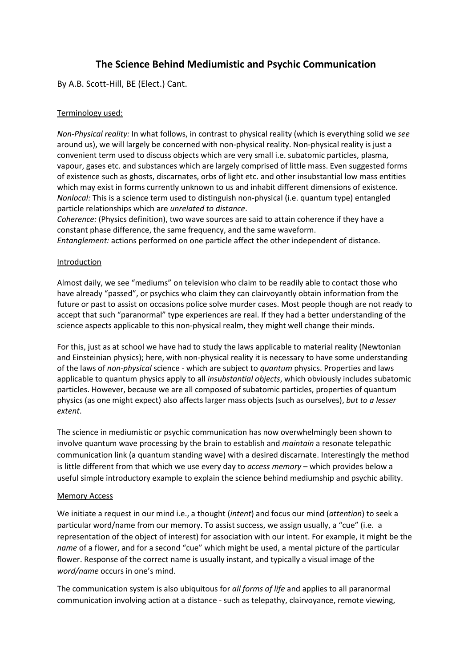# **The Science Behind Mediumistic and Psychic Communication**

By A.B. Scott-Hill, BE (Elect.) Cant.

# Terminology used:

*Non-Physical reality:* In what follows, in contrast to physical reality (which is everything solid we *see* around us), we will largely be concerned with non-physical reality. Non-physical reality is just a convenient term used to discuss objects which are very small i.e. subatomic particles, plasma, vapour, gases etc. and substances which are largely comprised of little mass. Even suggested forms of existence such as ghosts, discarnates, orbs of light etc. and other insubstantial low mass entities which may exist in forms currently unknown to us and inhabit different dimensions of existence. *Nonlocal:* This is a science term used to distinguish non-physical (i.e. quantum type) entangled particle relationships which are *unrelated to distance*.

*Coherence:* (Physics definition), two wave sources are said to attain coherence if they have a constant phase difference, the same frequency, and the same waveform.

*Entanglement:* actions performed on one particle affect the other independent of distance.

# Introduction

Almost daily, we see "mediums" on television who claim to be readily able to contact those who have already "passed", or psychics who claim they can clairvoyantly obtain information from the future or past to assist on occasions police solve murder cases. Most people though are not ready to accept that such "paranormal" type experiences are real. If they had a better understanding of the science aspects applicable to this non-physical realm, they might well change their minds.

For this, just as at school we have had to study the laws applicable to material reality (Newtonian and Einsteinian physics); here, with non-physical reality it is necessary to have some understanding of the laws of *non-physical* science - which are subject to *quantum* physics. Properties and laws applicable to quantum physics apply to all *insubstantial objects*, which obviously includes subatomic particles. However, because we are all composed of subatomic particles, properties of quantum physics (as one might expect) also affects larger mass objects (such as ourselves), *but to a lesser extent*.

The science in mediumistic or psychic communication has now overwhelmingly been shown to involve quantum wave processing by the brain to establish and *maintain* a resonate telepathic communication link (a quantum standing wave) with a desired discarnate. Interestingly the method is little different from that which we use every day to *access memory* – which provides below a useful simple introductory example to explain the science behind mediumship and psychic ability.

### Memory Access

We initiate a request in our mind i.e., a thought (*intent*) and focus our mind (*attention*) to seek a particular word/name from our memory. To assist success, we assign usually, a "cue" (i.e. a representation of the object of interest) for association with our intent. For example, it might be the *name* of a flower, and for a second "cue" which might be used, a mental picture of the particular flower. Response of the correct name is usually instant, and typically a visual image of the *word/name* occurs in one's mind.

The communication system is also ubiquitous for *all forms of life* and applies to all paranormal communication involving action at a distance - such as telepathy, clairvoyance, remote viewing,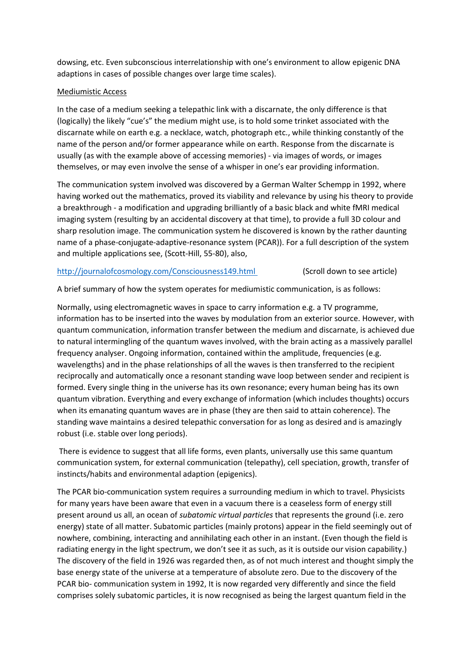dowsing, etc. Even subconscious interrelationship with one's environment to allow epigenic DNA adaptions in cases of possible changes over large time scales).

## Mediumistic Access

In the case of a medium seeking a telepathic link with a discarnate, the only difference is that (logically) the likely "cue's" the medium might use, is to hold some trinket associated with the discarnate while on earth e.g. a necklace, watch, photograph etc., while thinking constantly of the name of the person and/or former appearance while on earth. Response from the discarnate is usually (as with the example above of accessing memories) - via images of words, or images themselves, or may even involve the sense of a whisper in one's ear providing information.

The communication system involved was discovered by a German Walter Schempp in 1992, where having worked out the mathematics, proved its viability and relevance by using his theory to provide a breakthrough - a modification and upgrading brilliantly of a basic black and white fMRI medical imaging system (resulting by an accidental discovery at that time), to provide a full 3D colour and sharp resolution image. The communication system he discovered is known by the rather daunting name of a phase-conjugate-adaptive-resonance system (PCAR)). For a full description of the system and multiple applications see, (Scott-Hill, 55-80), also,

# <http://journalofcosmology.com/Consciousness149.html> (Scroll down to see article)

A brief summary of how the system operates for mediumistic communication, is as follows:

Normally, using electromagnetic waves in space to carry information e.g. a TV programme, information has to be inserted into the waves by modulation from an exterior source. However, with quantum communication, information transfer between the medium and discarnate, is achieved due to natural intermingling of the quantum waves involved, with the brain acting as a massively parallel frequency analyser. Ongoing information, contained within the amplitude, frequencies (e.g. wavelengths) and in the phase relationships of all the waves is then transferred to the recipient reciprocally and automatically once a resonant standing wave loop between sender and recipient is formed. Every single thing in the universe has its own resonance; every human being has its own quantum vibration. Everything and every exchange of information (which includes thoughts) occurs when its emanating quantum waves are in phase (they are then said to attain coherence). The standing wave maintains a desired telepathic conversation for as long as desired and is amazingly robust (i.e. stable over long periods).

There is evidence to suggest that all life forms, even plants, universally use this same quantum communication system, for external communication (telepathy), cell speciation, growth, transfer of instincts/habits and environmental adaption (epigenics).

The PCAR bio-communication system requires a surrounding medium in which to travel. Physicists for many years have been aware that even in a vacuum there is a ceaseless form of energy still present around us all, an ocean of *subatomic virtual particles* that represents the ground (i.e. zero energy) state of all matter. Subatomic particles (mainly protons) appear in the field seemingly out of nowhere, combining, interacting and annihilating each other in an instant. (Even though the field is radiating energy in the light spectrum, we don't see it as such, as it is outside our vision capability.) The discovery of the field in 1926 was regarded then, as of not much interest and thought simply the base energy state of the universe at a temperature of absolute zero. Due to the discovery of the PCAR bio- communication system in 1992, It is now regarded very differently and since the field comprises solely subatomic particles, it is now recognised as being the largest quantum field in the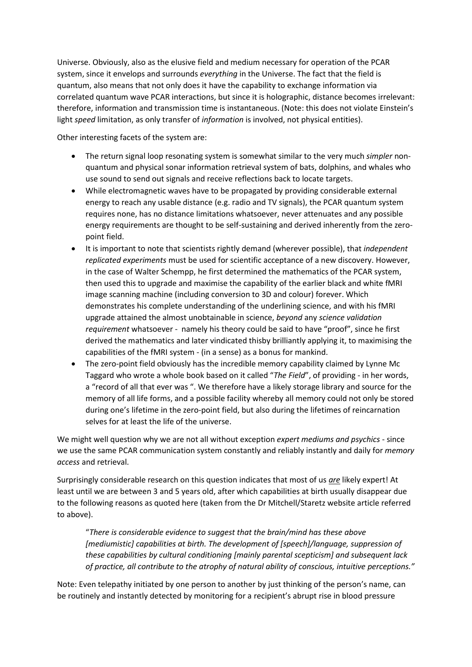Universe. Obviously, also as the elusive field and medium necessary for operation of the PCAR system, since it envelops and surrounds *everything* in the Universe. The fact that the field is quantum, also means that not only does it have the capability to exchange information via correlated quantum wave PCAR interactions, but since it is holographic, distance becomes irrelevant: therefore, information and transmission time is instantaneous. (Note: this does not violate Einstein's light *speed* limitation, as only transfer of *information* is involved, not physical entities).

Other interesting facets of the system are:

- The return signal loop resonating system is somewhat similar to the very much *simpler* nonquantum and physical sonar information retrieval system of bats, dolphins, and whales who use sound to send out signals and receive reflections back to locate targets.
- While electromagnetic waves have to be propagated by providing considerable external energy to reach any usable distance (e.g. radio and TV signals), the PCAR quantum system requires none, has no distance limitations whatsoever, never attenuates and any possible energy requirements are thought to be self-sustaining and derived inherently from the zeropoint field.
- It is important to note that scientists rightly demand (wherever possible), that *independent replicated experiments* must be used for scientific acceptance of a new discovery. However, in the case of Walter Schempp, he first determined the mathematics of the PCAR system, then used this to upgrade and maximise the capability of the earlier black and white fMRI image scanning machine (including conversion to 3D and colour) forever. Which demonstrates his complete understanding of the underlining science, and with his fMRI upgrade attained the almost unobtainable in science, *beyond* any *science validation requirement* whatsoever - namely his theory could be said to have "proof", since he first derived the mathematics and later vindicated thisby brilliantly applying it, to maximising the capabilities of the fMRI system - (in a sense) as a bonus for mankind.
- The zero-point field obviously has the incredible memory capability claimed by Lynne Mc Taggard who wrote a whole book based on it called "*The Field*", of providing - in her words, a "record of all that ever was ". We therefore have a likely storage library and source for the memory of all life forms, and a possible facility whereby all memory could not only be stored during one's lifetime in the zero-point field, but also during the lifetimes of reincarnation selves for at least the life of the universe.

We might well question why we are not all without exception *expert mediums and psychics* - since we use the same PCAR communication system constantly and reliably instantly and daily for *memory access* and retrieval.

Surprisingly considerable research on this question indicates that most of us *are* likely expert! At least until we are between 3 and 5 years old, after which capabilities at birth usually disappear due to the following reasons as quoted here (taken from the Dr Mitchell/Staretz website article referred to above).

"*There is considerable evidence to suggest that the brain/mind has these above [mediumistic] capabilities at birth. The development of [speech]/language, suppression of these capabilities by cultural conditioning [mainly parental scepticism] and subsequent lack of practice, all contribute to the atrophy of natural ability of conscious, intuitive perceptions."*

Note: Even telepathy initiated by one person to another by just thinking of the person's name, can be routinely and instantly detected by monitoring for a recipient's abrupt rise in blood pressure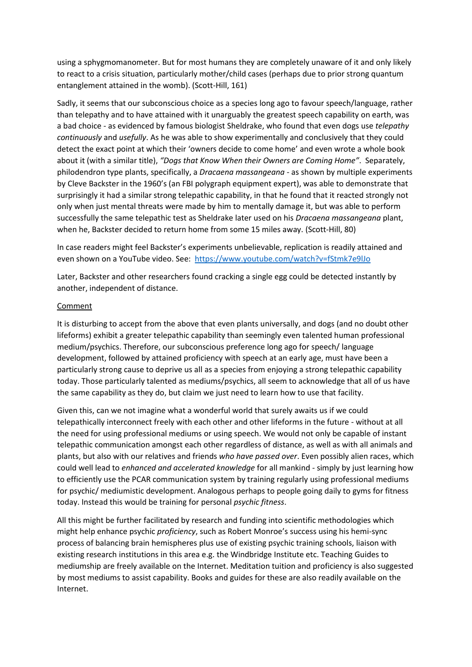using a sphygmomanometer. But for most humans they are completely unaware of it and only likely to react to a crisis situation, particularly mother/child cases (perhaps due to prior strong quantum entanglement attained in the womb). (Scott-Hill, 161)

Sadly, it seems that our subconscious choice as a species long ago to favour speech/language, rather than telepathy and to have attained with it unarguably the greatest speech capability on earth, was a bad choice - as evidenced by famous biologist Sheldrake, who found that even dogs use *telepathy continuously* and *usefully*. As he was able to show experimentally and conclusively that they could detect the exact point at which their 'owners decide to come home' and even wrote a whole book about it (with a similar title), *"Dogs that Know When their Owners are Coming Home"*. Separately, philodendron type plants, specifically, a *Dracaena massangeana* - as shown by multiple experiments by Cleve Backster in the 1960's (an FBI polygraph equipment expert), was able to demonstrate that surprisingly it had a similar strong telepathic capability, in that he found that it reacted strongly not only when just mental threats were made by him to mentally damage it, but was able to perform successfully the same telepathic test as Sheldrake later used on his *Dracaena massangeana* plant, when he, Backster decided to return home from some 15 miles away. (Scott-Hill, 80)

In case readers might feel Backster's experiments unbelievable, replication is readily attained and even shown on a YouTube video. See:<https://www.youtube.com/watch?v=fStmk7e9lJo>

Later, Backster and other researchers found cracking a single egg could be detected instantly by another, independent of distance.

#### **Comment**

It is disturbing to accept from the above that even plants universally, and dogs (and no doubt other lifeforms) exhibit a greater telepathic capability than seemingly even talented human professional medium/psychics. Therefore, our subconscious preference long ago for speech/ language development, followed by attained proficiency with speech at an early age, must have been a particularly strong cause to deprive us all as a species from enjoying a strong telepathic capability today. Those particularly talented as mediums/psychics, all seem to acknowledge that all of us have the same capability as they do, but claim we just need to learn how to use that facility.

Given this, can we not imagine what a wonderful world that surely awaits us if we could telepathically interconnect freely with each other and other lifeforms in the future - without at all the need for using professional mediums or using speech. We would not only be capable of instant telepathic communication amongst each other regardless of distance, as well as with all animals and plants, but also with our relatives and friends *who have passed over*. Even possibly alien races, which could well lead to *enhanced and accelerated knowledge* for all mankind - simply by just learning how to efficiently use the PCAR communication system by training regularly using professional mediums for psychic/ mediumistic development. Analogous perhaps to people going daily to gyms for fitness today. Instead this would be training for personal *psychic fitness*.

All this might be further facilitated by research and funding into scientific methodologies which might help enhance psychic *proficiency*, such as Robert Monroe's success using his hemi-sync process of balancing brain hemispheres plus use of existing psychic training schools, liaison with existing research institutions in this area e.g. the Windbridge Institute etc. Teaching Guides to mediumship are freely available on the Internet. Meditation tuition and proficiency is also suggested by most mediums to assist capability. Books and guides for these are also readily available on the Internet.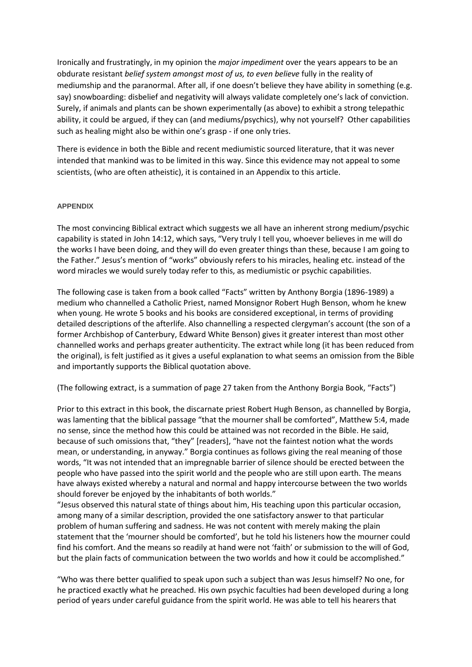Ironically and frustratingly, in my opinion the *major impediment* over the years appears to be an obdurate resistant *belief system amongst most of us, to even believe* fully in the reality of mediumship and the paranormal. After all, if one doesn't believe they have ability in something (e.g. say) snowboarding: disbelief and negativity will always validate completely one's lack of conviction. Surely, if animals and plants can be shown experimentally (as above) to exhibit a strong telepathic ability, it could be argued, if they can (and mediums/psychics), why not yourself? Other capabilities such as healing might also be within one's grasp - if one only tries.

There is evidence in both the Bible and recent mediumistic sourced literature, that it was never intended that mankind was to be limited in this way. Since this evidence may not appeal to some scientists, (who are often atheistic), it is contained in an Appendix to this article.

#### **APPENDIX**

The most convincing Biblical extract which suggests we all have an inherent strong medium/psychic capability is stated in John 14:12, which says, "Very truly I tell you, whoever believes in me will do the works I have been doing, and they will do even greater things than these, because I am going to the Father." Jesus's mention of "works" obviously refers to his miracles, healing etc. instead of the word miracles we would surely today refer to this, as mediumistic or psychic capabilities.

The following case is taken from a book called "Facts" written by Anthony Borgia (1896-1989) a medium who channelled a Catholic Priest, named Monsignor Robert Hugh Benson, whom he knew when young. He wrote 5 books and his books are considered exceptional, in terms of providing detailed descriptions of the afterlife. Also channelling a respected clergyman's account (the son of a former Archbishop of Canterbury, Edward White Benson) gives it greater interest than most other channelled works and perhaps greater authenticity. The extract while long (it has been reduced from the original), is felt justified as it gives a useful explanation to what seems an omission from the Bible and importantly supports the Biblical quotation above.

(The following extract, is a summation of page 27 taken from the Anthony Borgia Book, "Facts")

Prior to this extract in this book, the discarnate priest Robert Hugh Benson, as channelled by Borgia, was lamenting that the biblical passage "that the mourner shall be comforted", Matthew 5:4, made no sense, since the method how this could be attained was not recorded in the Bible. He said, because of such omissions that, "they" [readers], "have not the faintest notion what the words mean, or understanding, in anyway." Borgia continues as follows giving the real meaning of those words, "It was not intended that an impregnable barrier of silence should be erected between the people who have passed into the spirit world and the people who are still upon earth. The means have always existed whereby a natural and normal and happy intercourse between the two worlds should forever be enjoyed by the inhabitants of both worlds."

"Jesus observed this natural state of things about him, His teaching upon this particular occasion, among many of a similar description, provided the one satisfactory answer to that particular problem of human suffering and sadness. He was not content with merely making the plain statement that the 'mourner should be comforted', but he told his listeners how the mourner could find his comfort. And the means so readily at hand were not 'faith' or submission to the will of God, but the plain facts of communication between the two worlds and how it could be accomplished."

"Who was there better qualified to speak upon such a subject than was Jesus himself? No one, for he practiced exactly what he preached. His own psychic faculties had been developed during a long period of years under careful guidance from the spirit world. He was able to tell his hearers that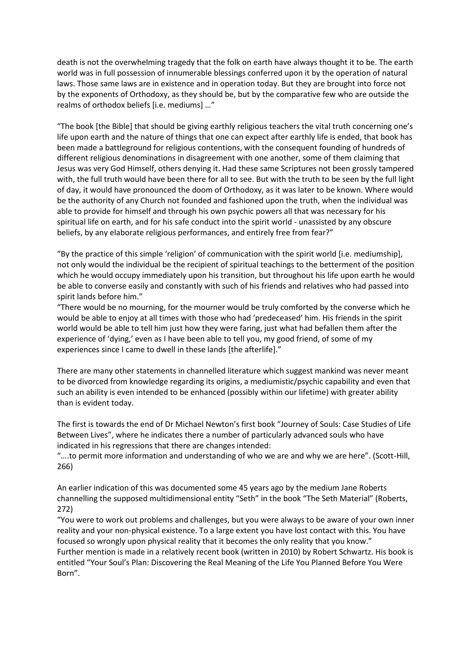death is not the overwhelming tragedy that the folk on earth have always thought it to be. The earth world was in full possession of innumerable blessings conferred upon it by the operation of natural laws. Those same laws are in existence and in operation today. But they are brought into force not by the exponents of Orthodoxy, as they should be, but by the comparative few who are outside the realms of orthodox beliefs [i.e. mediums] …"

"The book [the Bible] that should be giving earthly religious teachers the vital truth concerning one's life upon earth and the nature of things that one can expect after earthly life is ended, that book has been made a battleground for religious contentions, with the consequent founding of hundreds of different religious denominations in disagreement with one another, some of them claiming that Jesus was very God Himself, others denying it. Had these same Scriptures not been grossly tampered with, the full truth would have been there for all to see. But with the truth to be seen by the full light of day, it would have pronounced the doom of Orthodoxy, as it was later to be known. Where would be the authority of any Church not founded and fashioned upon the truth, when the individual was able to provide for himself and through his own psychic powers all that was necessary for his spiritual life on earth, and for his safe conduct into the spirit world - unassisted by any obscure beliefs, by any elaborate religious performances, and entirely free from fear?"

"By the practice of this simple 'religion' of communication with the spirit world [i.e. mediumship], not only would the individual be the recipient of spiritual teachings to the betterment of the position which he would occupy immediately upon his transition, but throughout his life upon earth he would be able to converse easily and constantly with such of his friends and relatives who had passed into spirit lands before him."

"There would be no mourning, for the mourner would be truly comforted by the converse which he would be able to enjoy at all times with those who had 'predeceased' him. His friends in the spirit world would be able to tell him just how they were faring, just what had befallen them after the experience of 'dying,' even as I have been able to tell you, my good friend, of some of my experiences since I came to dwell in these lands [the afterlife]."

There are many other statements in channelled literature which suggest mankind was never meant to be divorced from knowledge regarding its origins, a mediumistic/psychic capability and even that such an ability is even intended to be enhanced (possibly within our lifetime) with greater ability than is evident today.

The first is towards the end of Dr Michael Newton's first book "Journey of Souls: Case Studies of Life Between Lives", where he indicates there a number of particularly advanced souls who have indicated in his regressions that there are changes intended:

"....to permit more information and understanding of who we are and why we are here". (Scott-Hill, 266)

An earlier indication of this was documented some 45 years ago by the medium Jane Roberts channelling the supposed multidimensional entity "Seth" in the book "The Seth Material" (Roberts, 272)

"You were to work out problems and challenges, but you were always to be aware of your own inner reality and your non-physical existence. To a large extent you have lost contact with this. You have focused so wrongly upon physical reality that it becomes the only reality that you know." Further mention is made in a relatively recent book (written in 2010) by Robert Schwartz. His book is entitled "Your Soul's Plan: Discovering the Real Meaning of the Life You Planned Before You Were Born".